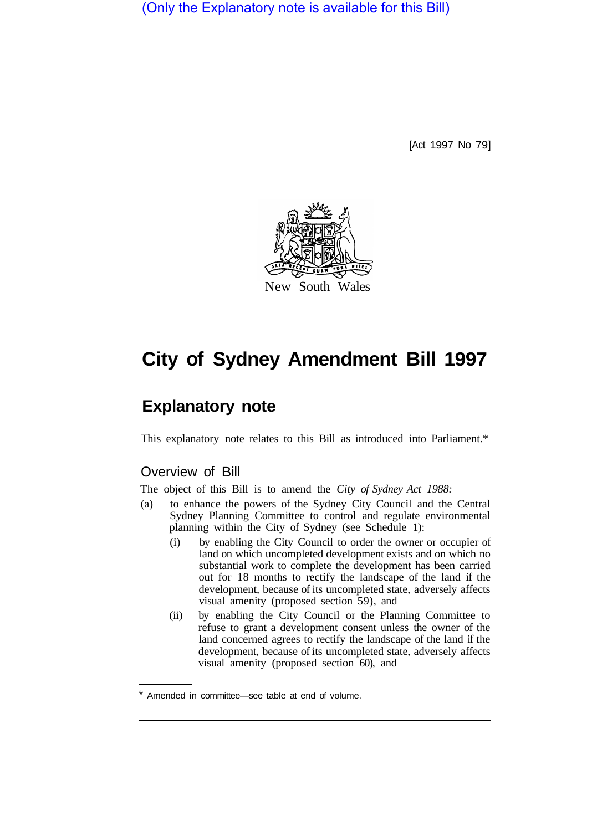(Only the Explanatory note is available for this Bill)

[Act 1997 No 79]



## **City of Sydney Amendment Bill 1997**

## **Explanatory note**

This explanatory note relates to this Bill as introduced into Parliament.\*

## Overview of Bill

The object of this Bill is to amend the *City of Sydney Act 1988:* 

- (a) to enhance the powers of the Sydney City Council and the Central Sydney Planning Committee to control and regulate environmental planning within the City of Sydney (see Schedule 1):
	- (i) by enabling the City Council to order the owner or occupier of land on which uncompleted development exists and on which no substantial work to complete the development has been carried out for 18 months to rectify the landscape of the land if the development, because of its uncompleted state, adversely affects visual amenity (proposed section 59), and
	- (ii) by enabling the City Council or the Planning Committee to refuse to grant a development consent unless the owner of the land concerned agrees to rectify the landscape of the land if the development, because of its uncompleted state, adversely affects visual amenity (proposed section 60), and

Amended in committee—see table at end of volume.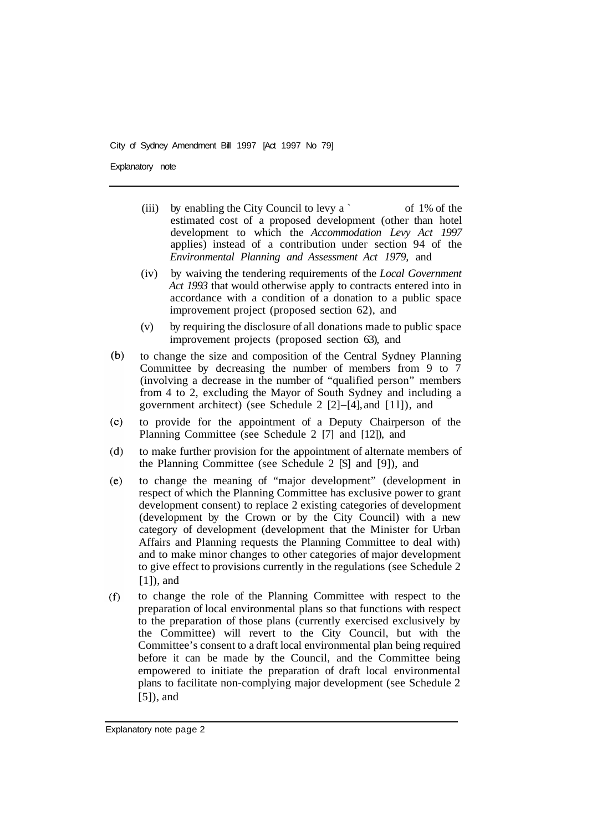City of Sydney Amendment Bill 1997 [Act 1997 No 79]

Explanatory note

- (iii) by enabling the City Council to levy a  $\sim$  of 1% of the estimated cost of a proposed development (other than hotel development to which the *Accommodation Levy Act 1997*  applies) instead of a contribution under section 94 of the *Environmental Planning and Assessment Act 1979,* and
- (iv) by waiving the tendering requirements of the *Local Government Act 1993* that would otherwise apply to contracts entered into in accordance with a condition of a donation to a public space improvement project (proposed section 62), and
- (v) by requiring the disclosure of all donations made to public space improvement projects (proposed section 63), and
- $(b)$ to change the size and composition of the Central Sydney Planning Committee by decreasing the number of members from 9 to 7 (involving a decrease in the number of "qualified person" members from 4 to 2, excluding the Mayor of South Sydney and including a government architect) (see Schedule 2 [2]-[4], and [ 1 l]), and
- $(c)$ to provide for the appointment of a Deputy Chairperson of the Planning Committee (see Schedule 2 [7] and [12]), and
- $(d)$ to make further provision for the appointment of alternate members of the Planning Committee (see Schedule 2 [S] and [9]), and
- to change the meaning of "major development" (development in  $(e)$ respect of which the Planning Committee has exclusive power to grant development consent) to replace 2 existing categories of development (development by the Crown or by the City Council) with a new category of development (development that the Minister for Urban Affairs and Planning requests the Planning Committee to deal with) and to make minor changes to other categories of major development to give effect to provisions currently in the regulations (see Schedule 2 [1]), and
- $(f)$ to change the role of the Planning Committee with respect to the preparation of local environmental plans so that functions with respect to the preparation of those plans (currently exercised exclusively by the Committee) will revert to the City Council, but with the Committee's consent to a draft local environmental plan being required before it can be made by the Council, and the Committee being empowered to initiate the preparation of draft local environmental plans to facilitate non-complying major development (see Schedule 2 [5]), and

Explanatory note page 2